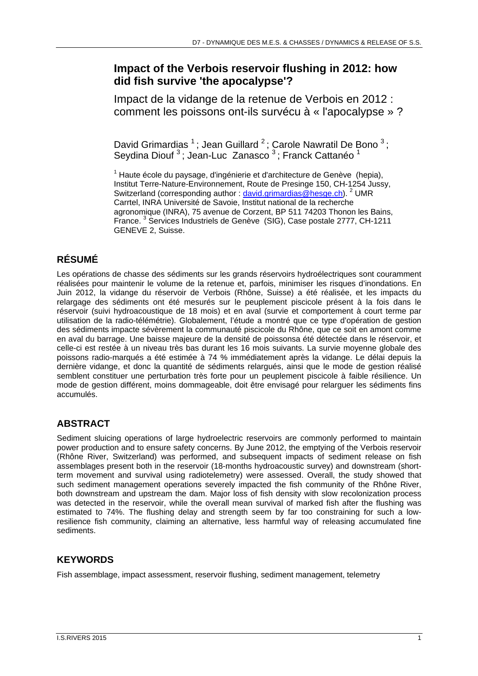## **Impact of the Verbois reservoir flushing in 2012: how did fish survive 'the apocalypse'?**

Impact de la vidange de la retenue de Verbois en 2012 : comment les poissons ont-ils survécu à « l'apocalypse » ?

David Grimardias<sup>1</sup>; Jean Guillard<sup>2</sup>; Carole Nawratil De Bono<sup>3</sup>; Seydina Diouf<sup>3</sup>; Jean-Luc Zanasco<sup>3</sup>; Franck Cattanéo<sup>1</sup>

<sup>1</sup> Haute école du paysage, d'ingénierie et d'architecture de Genève (hepia), Institut Terre-Nature-Environnement, Route de Presinge 150, CH-1254 Jussy, Switzerland (corresponding author : david.grimardias@hesge.ch). <sup>2</sup> UMR Carrtel, INRA Université de Savoie, Institut national de la recherche agronomique (INRA), 75 avenue de Corzent, BP 511 74203 Thonon les Bains, France.<sup>3</sup> Services Industriels de Genève (SIG), Case postale 2777, CH-1211 GENEVE 2, Suisse.

# **RÉSUMÉ**

Les opérations de chasse des sédiments sur les grands réservoirs hydroélectriques sont couramment réalisées pour maintenir le volume de la retenue et, parfois, minimiser les risques d'inondations. En Juin 2012, la vidange du réservoir de Verbois (Rhône, Suisse) a été réalisée, et les impacts du relargage des sédiments ont été mesurés sur le peuplement piscicole présent à la fois dans le réservoir (suivi hydroacoustique de 18 mois) et en aval (survie et comportement à court terme par utilisation de la radio-télémétrie). Globalement, l'étude a montré que ce type d'opération de gestion des sédiments impacte sévèrement la communauté piscicole du Rhône, que ce soit en amont comme en aval du barrage. Une baisse majeure de la densité de poissonsa été détectée dans le réservoir, et celle-ci est restée à un niveau très bas durant les 16 mois suivants. La survie moyenne globale des poissons radio-marqués a été estimée à 74 % immédiatement après la vidange. Le délai depuis la dernière vidange, et donc la quantité de sédiments relargués, ainsi que le mode de gestion réalisé semblent constituer une perturbation très forte pour un peuplement piscicole à faible résilience. Un mode de gestion différent, moins dommageable, doit être envisagé pour relarguer les sédiments fins accumulés.

## **ABSTRACT**

Sediment sluicing operations of large hydroelectric reservoirs are commonly performed to maintain power production and to ensure safety concerns. By June 2012, the emptying of the Verbois reservoir (Rhône River, Switzerland) was performed, and subsequent impacts of sediment release on fish assemblages present both in the reservoir (18-months hydroacoustic survey) and downstream (shortterm movement and survival using radiotelemetry) were assessed. Overall, the study showed that such sediment management operations severely impacted the fish community of the Rhône River, both downstream and upstream the dam. Major loss of fish density with slow recolonization process was detected in the reservoir, while the overall mean survival of marked fish after the flushing was estimated to 74%. The flushing delay and strength seem by far too constraining for such a lowresilience fish community, claiming an alternative, less harmful way of releasing accumulated fine sediments.

## **KEYWORDS**

Fish assemblage, impact assessment, reservoir flushing, sediment management, telemetry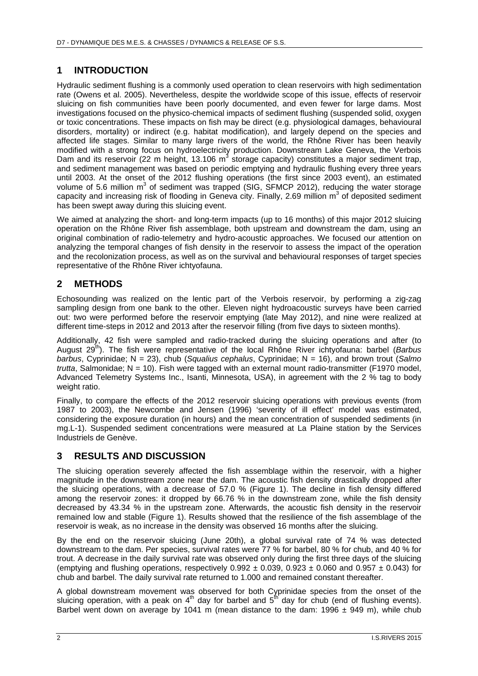### **1 INTRODUCTION**

Hydraulic sediment flushing is a commonly used operation to clean reservoirs with high sedimentation rate (Owens et al. 2005). Nevertheless, despite the worldwide scope of this issue, effects of reservoir sluicing on fish communities have been poorly documented, and even fewer for large dams. Most investigations focused on the physico-chemical impacts of sediment flushing (suspended solid, oxygen or toxic concentrations. These impacts on fish may be direct (e.g. physiological damages, behavioural disorders, mortality) or indirect (e.g. habitat modification), and largely depend on the species and affected life stages. Similar to many large rivers of the world, the Rhône River has been heavily modified with a strong focus on hydroelectricity production. Downstream Lake Geneva, the Verbois Dam and its reservoir (22 m height, 13.106 m<sup>3</sup> storage capacity) constitutes a major sediment trap, and sediment management was based on periodic emptying and hydraulic flushing every three years until 2003. At the onset of the 2012 flushing operations (the first since 2003 event), an estimated volume of 5.6 million m<sup>3</sup> of sediment was trapped (SIG, SFMCP 2012), reducing the water storage capacity and increasing risk of flooding in Geneva city. Finally, 2.69 million  $m^3$  of deposited sediment has been swept away during this sluicing event.

We aimed at analyzing the short- and long-term impacts (up to 16 months) of this major 2012 sluicing operation on the Rhône River fish assemblage, both upstream and downstream the dam, using an original combination of radio-telemetry and hydro-acoustic approaches. We focused our attention on analyzing the temporal changes of fish density in the reservoir to assess the impact of the operation and the recolonization process, as well as on the survival and behavioural responses of target species representative of the Rhône River ichtyofauna.

#### **2 METHODS**

Echosounding was realized on the lentic part of the Verbois reservoir, by performing a zig-zag sampling design from one bank to the other. Eleven night hydroacoustic surveys have been carried out: two were performed before the reservoir emptying (late May 2012), and nine were realized at different time-steps in 2012 and 2013 after the reservoir filling (from five days to sixteen months).

Additionally, 42 fish were sampled and radio-tracked during the sluicing operations and after (to August 29th). The fish were representative of the local Rhône River ichtyofauna: barbel (*Barbus barbus*, Cyprinidae; N = 23), chub (*Squalius cephalus*, Cyprinidae; N = 16), and brown trout (*Salmo trutta*, Salmonidae; N = 10). Fish were tagged with an external mount radio-transmitter (F1970 model, Advanced Telemetry Systems Inc., Isanti, Minnesota, USA), in agreement with the 2 % tag to body weight ratio.

Finally, to compare the effects of the 2012 reservoir sluicing operations with previous events (from 1987 to 2003), the Newcombe and Jensen (1996) 'severity of ill effect' model was estimated, considering the exposure duration (in hours) and the mean concentration of suspended sediments (in mg.L-1). Suspended sediment concentrations were measured at La Plaine station by the Services Industriels de Genève.

### **3 RESULTS AND DISCUSSION**

The sluicing operation severely affected the fish assemblage within the reservoir, with a higher magnitude in the downstream zone near the dam. The acoustic fish density drastically dropped after the sluicing operations, with a decrease of 57.0 % (Figure 1). The decline in fish density differed among the reservoir zones: it dropped by 66.76 % in the downstream zone, while the fish density decreased by 43.34 % in the upstream zone. Afterwards, the acoustic fish density in the reservoir remained low and stable (Figure 1). Results showed that the resilience of the fish assemblage of the reservoir is weak, as no increase in the density was observed 16 months after the sluicing.

By the end on the reservoir sluicing (June 20th), a global survival rate of 74 % was detected downstream to the dam. Per species, survival rates were 77 % for barbel, 80 % for chub, and 40 % for trout. A decrease in the daily survival rate was observed only during the first three days of the sluicing (emptying and flushing operations, respectively  $0.992 \pm 0.039$ ,  $0.923 \pm 0.060$  and  $0.957 \pm 0.043$ ) for chub and barbel. The daily survival rate returned to 1.000 and remained constant thereafter.

A global downstream movement was observed for both Cyprinidae species from the onset of the sluicing operation, with a peak on  $4<sup>th</sup>$  day for barbel and  $5<sup>th</sup>$  day for chub (end of flushing events). Barbel went down on average by 1041 m (mean distance to the dam: 1996  $\pm$  949 m), while chub